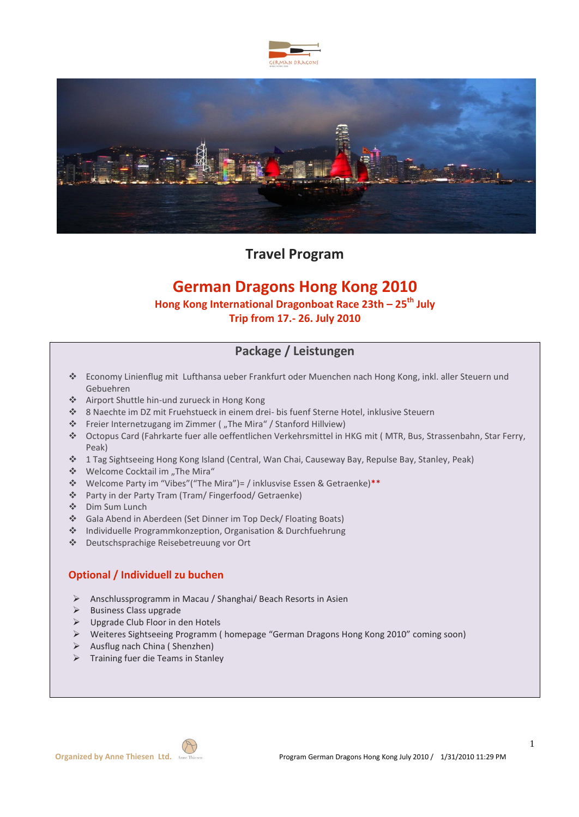



**Travel Program**

# **German Dragons Hong Kong 2010**

## **Hong Kong International Dragonboat Race 23th – 25th July**

**Trip from 17.- 26. July 2010**

## **Package / Leistungen**

- Economy Linienflug mit Lufthansa ueber Frankfurt oder Muenchen nach Hong Kong, inkl. aller Steuern und Gebuehren
- Airport Shuttle hin-und zurueck in Hong Kong
- 8 Naechte im DZ mit Fruehstueck in einem drei- bis fuenf Sterne Hotel, inklusive Steuern
- \* Freier Internetzugang im Zimmer ("The Mira" / Stanford Hillview)
- Octopus Card (Fahrkarte fuer alle oeffentlichen Verkehrsmittel in HKG mit ( MTR, Bus, Strassenbahn, Star Ferry, Peak)
- 1 Tag Sightseeing Hong Kong Island (Central, Wan Chai, Causeway Bay, Repulse Bay, Stanley, Peak)
- \* Welcome Cocktail im "The Mira"
- Welcome Party im "Vibes"("The Mira")= / inklusvise Essen & Getraenke)\*\*
- Party in der Party Tram (Tram/ Fingerfood/ Getraenke)
- Dim Sum Lunch
- Gala Abend in Aberdeen (Set Dinner im Top Deck/ Floating Boats)
- Individuelle Programmkonzeption, Organisation & Durchfuehrung
- Deutschsprachige Reisebetreuung vor Ort

### **Optional / Individuell zu buchen**

- Anschlussprogramm in Macau / Shanghai/ Beach Resorts in Asien
- $\triangleright$  Business Class upgrade
- $\triangleright$  Upgrade Club Floor in den Hotels
- Weiteres Sightseeing Programm ( homepage "German Dragons Hong Kong 2010" coming soon)
- $\triangleright$  Ausflug nach China (Shenzhen)
- $\triangleright$  Training fuer die Teams in Stanley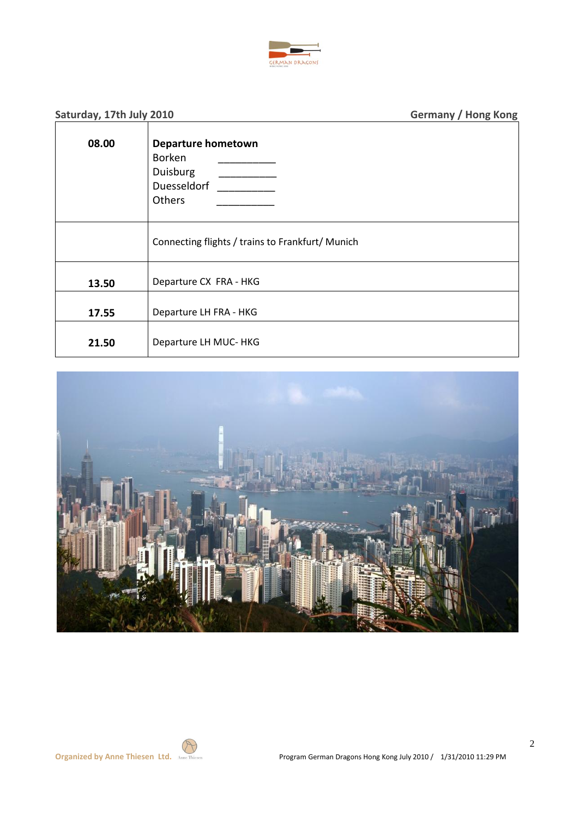

| Saturday, 17th July 2010 |                                                                          | <b>Germany / Hong Kong</b> |
|--------------------------|--------------------------------------------------------------------------|----------------------------|
| 08.00                    | <b>Departure hometown</b><br>Borken<br>Duisburg<br>Duesseldorf<br>Others |                            |
|                          | Connecting flights / trains to Frankfurt/ Munich                         |                            |
| 13.50                    | Departure CX FRA - HKG                                                   |                            |
| 17.55                    | Departure LH FRA - HKG                                                   |                            |
| 21.50                    | Departure LH MUC- HKG                                                    |                            |

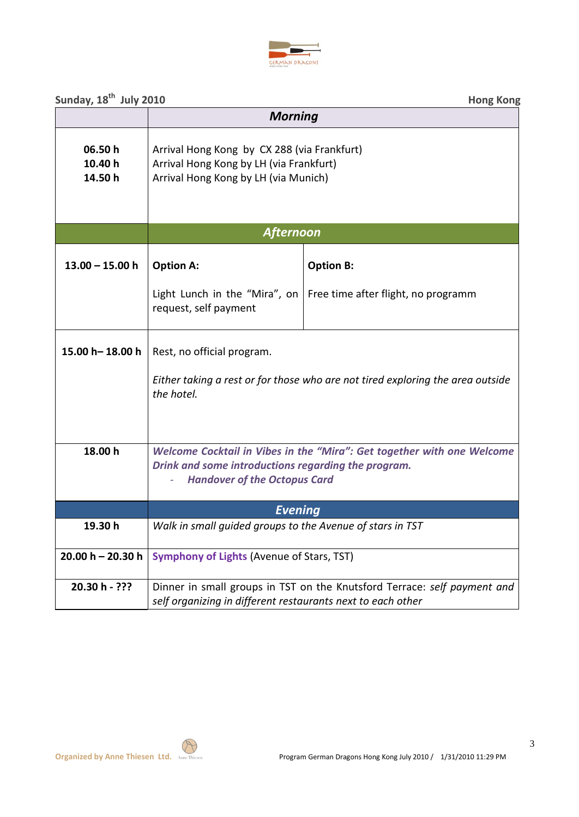

| Sunday, 18 <sup>th</sup> July 2010 |                                                                                                                                                                      | <b>Hong Kong</b>                                                         |
|------------------------------------|----------------------------------------------------------------------------------------------------------------------------------------------------------------------|--------------------------------------------------------------------------|
|                                    | <b>Morning</b>                                                                                                                                                       |                                                                          |
| 06.50h<br>10.40 h<br>14.50 h       | Arrival Hong Kong by CX 288 (via Frankfurt)<br>Arrival Hong Kong by LH (via Frankfurt)<br>Arrival Hong Kong by LH (via Munich)                                       |                                                                          |
|                                    | <b>Afternoon</b>                                                                                                                                                     |                                                                          |
| $13.00 - 15.00 h$                  | <b>Option A:</b>                                                                                                                                                     | <b>Option B:</b>                                                         |
|                                    | request, self payment                                                                                                                                                | Light Lunch in the "Mira", on   Free time after flight, no programm      |
| 15.00 h-18.00 h                    | Rest, no official program.<br>Either taking a rest or for those who are not tired exploring the area outside<br>the hotel.                                           |                                                                          |
|                                    |                                                                                                                                                                      |                                                                          |
| 18.00 h                            | Welcome Cocktail in Vibes in the "Mira": Get together with one Welcome<br>Drink and some introductions regarding the program.<br><b>Handover of the Octopus Card</b> |                                                                          |
|                                    | <b>Evening</b>                                                                                                                                                       |                                                                          |
| 19.30 h                            | Walk in small guided groups to the Avenue of stars in TST                                                                                                            |                                                                          |
| $20.00 h - 20.30 h$                | <b>Symphony of Lights (Avenue of Stars, TST)</b>                                                                                                                     |                                                                          |
| 20.30 h - ???                      | self organizing in different restaurants next to each other                                                                                                          | Dinner in small groups in TST on the Knutsford Terrace: self payment and |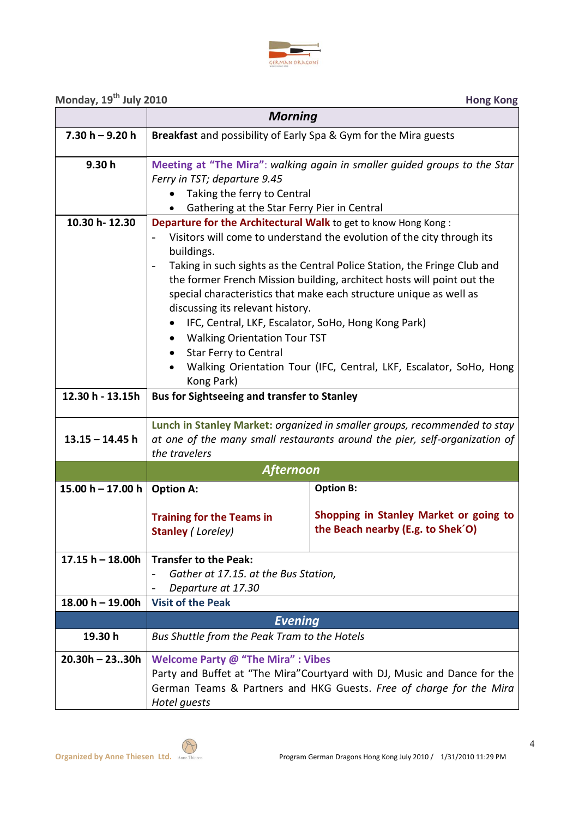

## **Monday, 19<sup>th</sup> July 2010 Hong Kong**

|                                   | <b>Morning</b>                                                                                                                                                                                                                                                                                                                                                                                                                                                                                                                                                                                                                                                                                                             |                                                                                          |  |  |
|-----------------------------------|----------------------------------------------------------------------------------------------------------------------------------------------------------------------------------------------------------------------------------------------------------------------------------------------------------------------------------------------------------------------------------------------------------------------------------------------------------------------------------------------------------------------------------------------------------------------------------------------------------------------------------------------------------------------------------------------------------------------------|------------------------------------------------------------------------------------------|--|--|
| $7.30 h - 9.20 h$                 | Breakfast and possibility of Early Spa & Gym for the Mira guests                                                                                                                                                                                                                                                                                                                                                                                                                                                                                                                                                                                                                                                           |                                                                                          |  |  |
| 9.30h                             | Meeting at "The Mira": walking again in smaller guided groups to the Star<br>Ferry in TST; departure 9.45<br>Taking the ferry to Central<br>Gathering at the Star Ferry Pier in Central                                                                                                                                                                                                                                                                                                                                                                                                                                                                                                                                    |                                                                                          |  |  |
| 10.30 h-12.30<br>12.30 h - 13.15h | Departure for the Architectural Walk to get to know Hong Kong:<br>Visitors will come to understand the evolution of the city through its<br>buildings.<br>Taking in such sights as the Central Police Station, the Fringe Club and<br>$\overline{\phantom{a}}$<br>the former French Mission building, architect hosts will point out the<br>special characteristics that make each structure unique as well as<br>discussing its relevant history.<br>IFC, Central, LKF, Escalator, SoHo, Hong Kong Park)<br><b>Walking Orientation Tour TST</b><br><b>Star Ferry to Central</b><br>Walking Orientation Tour (IFC, Central, LKF, Escalator, SoHo, Hong<br>Kong Park)<br><b>Bus for Sightseeing and transfer to Stanley</b> |                                                                                          |  |  |
| $13.15 - 14.45$ h                 | Lunch in Stanley Market: organized in smaller groups, recommended to stay<br>at one of the many small restaurants around the pier, self-organization of<br>the travelers                                                                                                                                                                                                                                                                                                                                                                                                                                                                                                                                                   |                                                                                          |  |  |
|                                   |                                                                                                                                                                                                                                                                                                                                                                                                                                                                                                                                                                                                                                                                                                                            | <b>Afternoon</b>                                                                         |  |  |
| 15.00 h - 17.00 h                 | <b>Option A:</b>                                                                                                                                                                                                                                                                                                                                                                                                                                                                                                                                                                                                                                                                                                           | <b>Option B:</b>                                                                         |  |  |
|                                   | <b>Training for the Teams in</b><br><b>Stanley (Loreley)</b>                                                                                                                                                                                                                                                                                                                                                                                                                                                                                                                                                                                                                                                               | Shopping in Stanley Market or going to<br>the Beach nearby (E.g. to Shek <sup>'O</sup> ) |  |  |
| $17.15 h - 18.00h$                | <b>Transfer to the Peak:</b><br>Gather at 17.15. at the Bus Station,<br>Departure at 17.30                                                                                                                                                                                                                                                                                                                                                                                                                                                                                                                                                                                                                                 |                                                                                          |  |  |
| $18.00 h - 19.00h$                | <b>Visit of the Peak</b>                                                                                                                                                                                                                                                                                                                                                                                                                                                                                                                                                                                                                                                                                                   |                                                                                          |  |  |
|                                   | <b>Evening</b>                                                                                                                                                                                                                                                                                                                                                                                                                                                                                                                                                                                                                                                                                                             |                                                                                          |  |  |
| 19.30 h                           | Bus Shuttle from the Peak Tram to the Hotels                                                                                                                                                                                                                                                                                                                                                                                                                                                                                                                                                                                                                                                                               |                                                                                          |  |  |
| $20.30h - 2330h$                  | <b>Welcome Party @ "The Mira": Vibes</b><br>Party and Buffet at "The Mira" Courtyard with DJ, Music and Dance for the<br>German Teams & Partners and HKG Guests. Free of charge for the Mira<br>Hotel guests                                                                                                                                                                                                                                                                                                                                                                                                                                                                                                               |                                                                                          |  |  |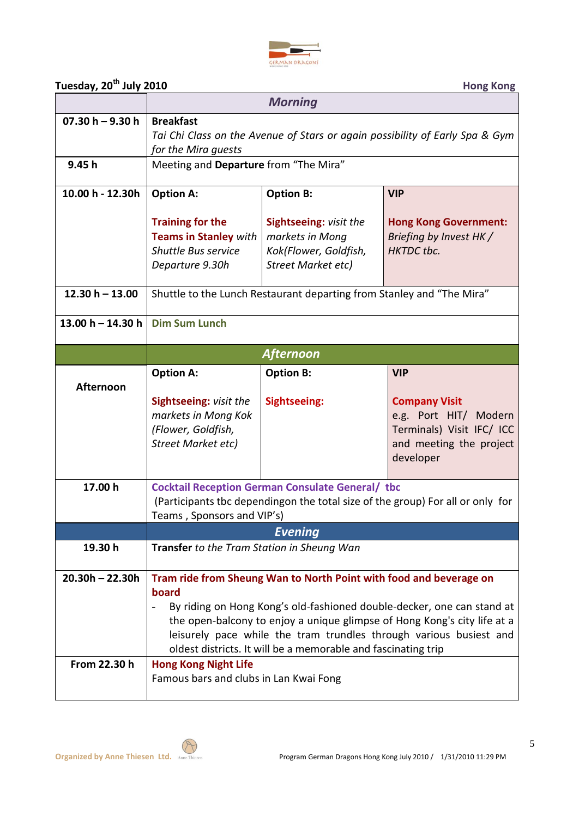

| Tuesday, 20 <sup>th</sup> July 2010 | <b>Hong Kong</b> |
|-------------------------------------|------------------|

|                                   | <b>Morning</b>                                                                                                                                                                                                                                                                                                                                                           |                                                                                                 |                                                                                                                    |
|-----------------------------------|--------------------------------------------------------------------------------------------------------------------------------------------------------------------------------------------------------------------------------------------------------------------------------------------------------------------------------------------------------------------------|-------------------------------------------------------------------------------------------------|--------------------------------------------------------------------------------------------------------------------|
| $07.30 h - 9.30 h$                | <b>Breakfast</b><br>Tai Chi Class on the Avenue of Stars or again possibility of Early Spa & Gym<br>for the Mira quests                                                                                                                                                                                                                                                  |                                                                                                 |                                                                                                                    |
| 9.45 h                            | Meeting and Departure from "The Mira"                                                                                                                                                                                                                                                                                                                                    |                                                                                                 |                                                                                                                    |
| 10.00 h - 12.30h                  | <b>Option A:</b>                                                                                                                                                                                                                                                                                                                                                         | <b>Option B:</b>                                                                                | <b>VIP</b>                                                                                                         |
|                                   | <b>Training for the</b><br><b>Teams in Stanley with</b><br><b>Shuttle Bus service</b><br>Departure 9.30h                                                                                                                                                                                                                                                                 | <b>Sightseeing: visit the</b><br>markets in Mong<br>Kok(Flower, Goldfish,<br>Street Market etc) | <b>Hong Kong Government:</b><br>Briefing by Invest HK /<br><b>HKTDC</b> tbc.                                       |
| $12.30 h - 13.00$                 | Shuttle to the Lunch Restaurant departing from Stanley and "The Mira"                                                                                                                                                                                                                                                                                                    |                                                                                                 |                                                                                                                    |
| 13.00 h $-$ 14.30 h               | <b>Dim Sum Lunch</b>                                                                                                                                                                                                                                                                                                                                                     |                                                                                                 |                                                                                                                    |
|                                   |                                                                                                                                                                                                                                                                                                                                                                          | <b>Afternoon</b>                                                                                |                                                                                                                    |
| <b>Afternoon</b>                  | <b>Option A:</b>                                                                                                                                                                                                                                                                                                                                                         | <b>Option B:</b>                                                                                | <b>VIP</b>                                                                                                         |
|                                   | <b>Sightseeing: visit the</b><br>markets in Mong Kok<br>(Flower, Goldfish,<br>Street Market etc)                                                                                                                                                                                                                                                                         | <b>Sightseeing:</b>                                                                             | <b>Company Visit</b><br>e.g. Port HIT/ Modern<br>Terminals) Visit IFC/ ICC<br>and meeting the project<br>developer |
| 17.00 h                           | <b>Cocktail Reception German Consulate General/ tbc</b><br>(Participants tbc dependingon the total size of the group) For all or only for<br>Teams, Sponsors and VIP's)                                                                                                                                                                                                  |                                                                                                 |                                                                                                                    |
|                                   |                                                                                                                                                                                                                                                                                                                                                                          | <b>Evening</b>                                                                                  |                                                                                                                    |
| 19.30 h                           | Transfer to the Tram Station in Sheung Wan                                                                                                                                                                                                                                                                                                                               |                                                                                                 |                                                                                                                    |
| $20.30h - 22.30h$<br>From 22.30 h | Tram ride from Sheung Wan to North Point with food and beverage on<br>board<br>By riding on Hong Kong's old-fashioned double-decker, one can stand at<br>the open-balcony to enjoy a unique glimpse of Hong Kong's city life at a<br>leisurely pace while the tram trundles through various busiest and<br>oldest districts. It will be a memorable and fascinating trip |                                                                                                 |                                                                                                                    |
|                                   | <b>Hong Kong Night Life</b><br>Famous bars and clubs in Lan Kwai Fong                                                                                                                                                                                                                                                                                                    |                                                                                                 |                                                                                                                    |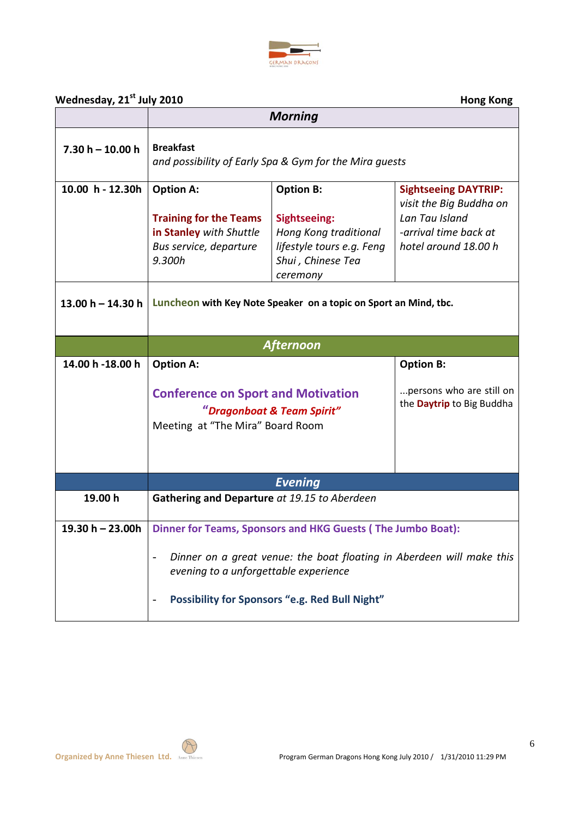

## **Wednesday, 21st July 2010 Hong Kong**

| $\frac{1}{2}$       |                                                                                                                                                                  | <b>Morning</b>                                                                                                                 | שייטיי שייטיי                                                                                                             |  |
|---------------------|------------------------------------------------------------------------------------------------------------------------------------------------------------------|--------------------------------------------------------------------------------------------------------------------------------|---------------------------------------------------------------------------------------------------------------------------|--|
| $7.30 h - 10.00 h$  | <b>Breakfast</b><br>and possibility of Early Spa & Gym for the Mira guests                                                                                       |                                                                                                                                |                                                                                                                           |  |
| 10.00 h - 12.30h    | <b>Option A:</b><br><b>Training for the Teams</b><br>in Stanley with Shuttle<br>Bus service, departure<br>9.300h                                                 | <b>Option B:</b><br><b>Sightseeing:</b><br>Hong Kong traditional<br>lifestyle tours e.g. Feng<br>Shui, Chinese Tea<br>ceremony | <b>Sightseeing DAYTRIP:</b><br>visit the Big Buddha on<br>Lan Tau Island<br>-arrival time back at<br>hotel around 18.00 h |  |
| 13.00 $h - 14.30 h$ |                                                                                                                                                                  | Luncheon with Key Note Speaker on a topic on Sport an Mind, tbc.                                                               |                                                                                                                           |  |
|                     |                                                                                                                                                                  | <b>Afternoon</b>                                                                                                               |                                                                                                                           |  |
| 14.00 h -18.00 h    | <b>Option A:</b>                                                                                                                                                 |                                                                                                                                | <b>Option B:</b>                                                                                                          |  |
|                     | <b>Conference on Sport and Motivation</b><br>"Dragonboat & Team Spirit"<br>Meeting at "The Mira" Board Room                                                      |                                                                                                                                | persons who are still on<br>the Daytrip to Big Buddha                                                                     |  |
|                     |                                                                                                                                                                  | <b>Evening</b>                                                                                                                 |                                                                                                                           |  |
| 19.00 h             | Gathering and Departure at 19.15 to Aberdeen                                                                                                                     |                                                                                                                                |                                                                                                                           |  |
| 19.30 $h - 23.00h$  |                                                                                                                                                                  | Dinner for Teams, Sponsors and HKG Guests (The Jumbo Boat):                                                                    |                                                                                                                           |  |
|                     | Dinner on a great venue: the boat floating in Aberdeen will make this<br>evening to a unforgettable experience<br>Possibility for Sponsors "e.g. Red Bull Night" |                                                                                                                                |                                                                                                                           |  |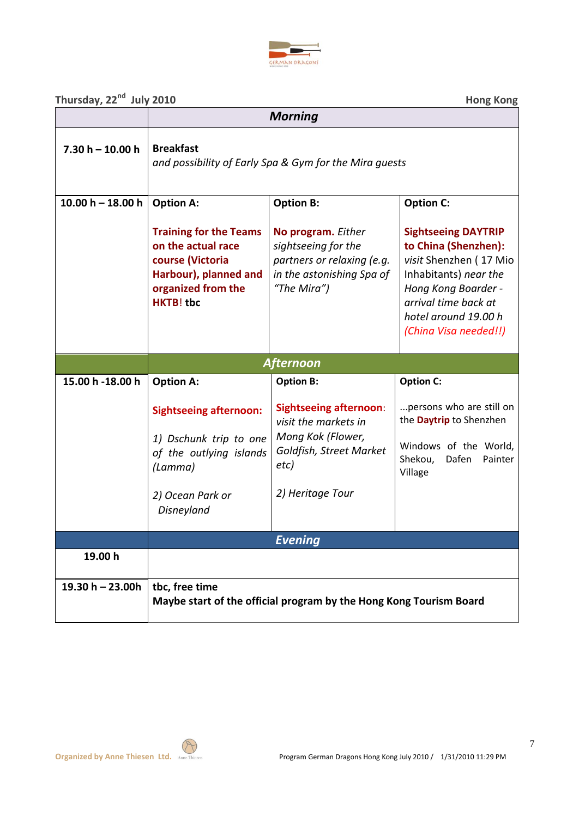

Thursday, 22<sup>nd</sup> July 2010

| Thursday, 22 <sup>nd</sup> July 2010 |                                                                                                                                            |                                                                                                                                   | <b>Hong Kong</b>                                                                                                                                                                                      |
|--------------------------------------|--------------------------------------------------------------------------------------------------------------------------------------------|-----------------------------------------------------------------------------------------------------------------------------------|-------------------------------------------------------------------------------------------------------------------------------------------------------------------------------------------------------|
|                                      |                                                                                                                                            | <b>Morning</b>                                                                                                                    |                                                                                                                                                                                                       |
| $7.30 h - 10.00 h$                   | <b>Breakfast</b>                                                                                                                           | and possibility of Early Spa & Gym for the Mira guests                                                                            |                                                                                                                                                                                                       |
| $10.00 h - 18.00 h$                  | <b>Option A:</b>                                                                                                                           | <b>Option B:</b>                                                                                                                  | <b>Option C:</b>                                                                                                                                                                                      |
|                                      | <b>Training for the Teams</b><br>on the actual race<br>course (Victoria<br>Harbour), planned and<br>organized from the<br><b>HKTB!</b> tbc | No program. Either<br>sightseeing for the<br>partners or relaxing (e.g.<br>in the astonishing Spa of<br>"The Mira")               | <b>Sightseeing DAYTRIP</b><br>to China (Shenzhen):<br>visit Shenzhen (17 Mio<br>Inhabitants) near the<br>Hong Kong Boarder -<br>arrival time back at<br>hotel around 19.00 h<br>(China Visa needed!!) |
|                                      |                                                                                                                                            | <b>Afternoon</b>                                                                                                                  |                                                                                                                                                                                                       |
| 15.00 h -18.00 h                     | <b>Option A:</b>                                                                                                                           | <b>Option B:</b>                                                                                                                  | <b>Option C:</b>                                                                                                                                                                                      |
|                                      | <b>Sightseeing afternoon:</b><br>1) Dschunk trip to one<br>of the outlying islands<br>(Lamma)<br>2) Ocean Park or<br>Disneyland            | <b>Sightseeing afternoon:</b><br>visit the markets in<br>Mong Kok (Flower,<br>Goldfish, Street Market<br>etc)<br>2) Heritage Tour | persons who are still on<br>the Daytrip to Shenzhen<br>Windows of the World,<br>Shekou,<br>Dafen<br>Painter<br>Village                                                                                |
|                                      |                                                                                                                                            | <b>Evening</b>                                                                                                                    |                                                                                                                                                                                                       |
| 19.00 h                              |                                                                                                                                            |                                                                                                                                   |                                                                                                                                                                                                       |
| 19.30 $h - 23.00h$                   | tbc, free time                                                                                                                             | Maybe start of the official program by the Hong Kong Tourism Board                                                                |                                                                                                                                                                                                       |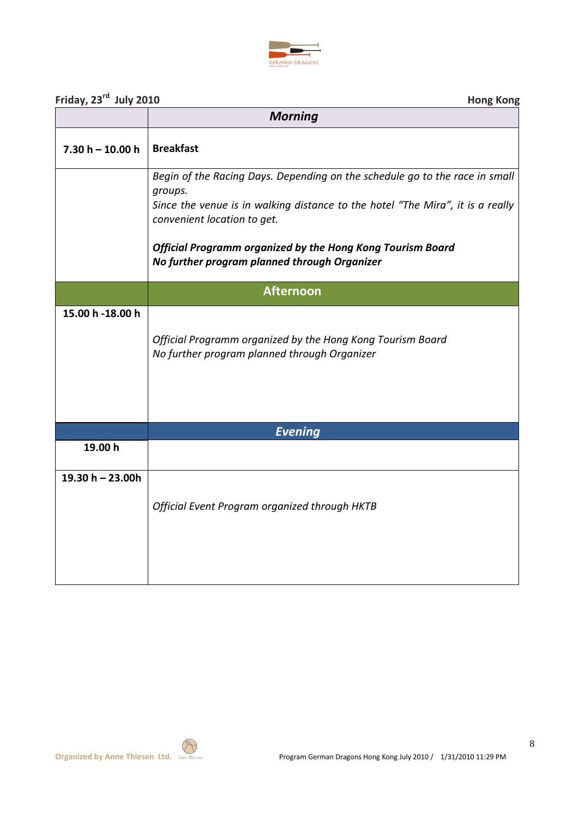

| Friday, 23rd July 2010 | <b>Hong Kong</b>                                                                                                                                                                                        |
|------------------------|---------------------------------------------------------------------------------------------------------------------------------------------------------------------------------------------------------|
|                        | <b>Morning</b>                                                                                                                                                                                          |
| $7.30 h - 10.00 h$     | <b>Breakfast</b>                                                                                                                                                                                        |
|                        | Begin of the Racing Days. Depending on the schedule go to the race in small<br>groups.<br>Since the venue is in walking distance to the hotel "The Mira", it is a really<br>convenient location to get. |
|                        | <b>Official Programm organized by the Hong Kong Tourism Board</b><br>No further program planned through Organizer                                                                                       |
|                        | <b>Afternoon</b>                                                                                                                                                                                        |
| 15.00 h -18.00 h       | Official Programm organized by the Hong Kong Tourism Board<br>No further program planned through Organizer                                                                                              |
|                        | <b>Evening</b>                                                                                                                                                                                          |
| 19.00 h                |                                                                                                                                                                                                         |
| 19.30 $h - 23.00h$     | Official Event Program organized through HKTB                                                                                                                                                           |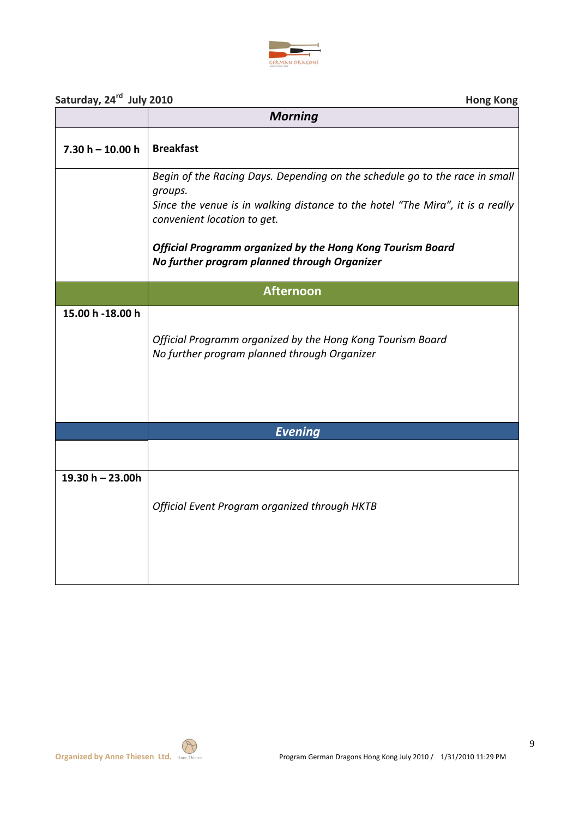

| Saturday, 24 <sup>rd</sup> July 2010 | <b>Hong Kong</b>                                                                                                                                                                                        |
|--------------------------------------|---------------------------------------------------------------------------------------------------------------------------------------------------------------------------------------------------------|
|                                      | <b>Morning</b>                                                                                                                                                                                          |
| $7.30 h - 10.00 h$                   | <b>Breakfast</b>                                                                                                                                                                                        |
|                                      | Begin of the Racing Days. Depending on the schedule go to the race in small<br>groups.<br>Since the venue is in walking distance to the hotel "The Mira", it is a really<br>convenient location to get. |
|                                      | <b>Official Programm organized by the Hong Kong Tourism Board</b><br>No further program planned through Organizer                                                                                       |
|                                      | <b>Afternoon</b>                                                                                                                                                                                        |
| 15.00 h -18.00 h                     |                                                                                                                                                                                                         |
|                                      | Official Programm organized by the Hong Kong Tourism Board<br>No further program planned through Organizer                                                                                              |
|                                      |                                                                                                                                                                                                         |
|                                      | <b>Evening</b>                                                                                                                                                                                          |
| 19.30 h - 23.00h                     |                                                                                                                                                                                                         |
|                                      | Official Event Program organized through HKTB                                                                                                                                                           |
|                                      |                                                                                                                                                                                                         |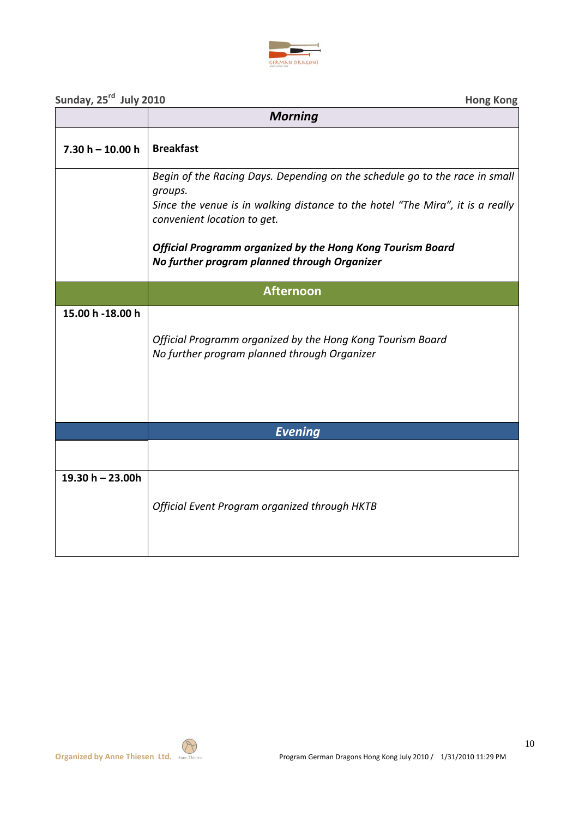

| Sunday, 25rd July 2010 | <b>Hong Kong</b>                                                                                                                                                                                                                                                                                                      |
|------------------------|-----------------------------------------------------------------------------------------------------------------------------------------------------------------------------------------------------------------------------------------------------------------------------------------------------------------------|
|                        | <b>Morning</b>                                                                                                                                                                                                                                                                                                        |
| $7.30 h - 10.00 h$     | <b>Breakfast</b>                                                                                                                                                                                                                                                                                                      |
|                        | Begin of the Racing Days. Depending on the schedule go to the race in small<br>groups.<br>Since the venue is in walking distance to the hotel "The Mira", it is a really<br>convenient location to get.<br>Official Programm organized by the Hong Kong Tourism Board<br>No further program planned through Organizer |
|                        | <b>Afternoon</b>                                                                                                                                                                                                                                                                                                      |
| 15.00 h -18.00 h       | Official Programm organized by the Hong Kong Tourism Board<br>No further program planned through Organizer                                                                                                                                                                                                            |
|                        | <b>Evening</b>                                                                                                                                                                                                                                                                                                        |
|                        |                                                                                                                                                                                                                                                                                                                       |
| 19.30 $h - 23.00h$     | Official Event Program organized through HKTB                                                                                                                                                                                                                                                                         |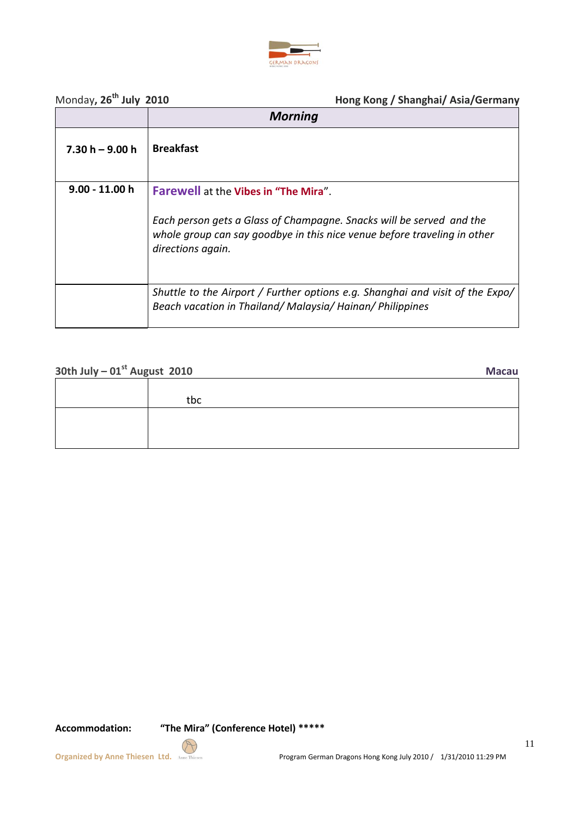

# Monday**, 26**

**th July 2010 Hong Kong / Shanghai/ Asia/Germany**

|                   | <b>Morning</b>                                                                                                                                                        |
|-------------------|-----------------------------------------------------------------------------------------------------------------------------------------------------------------------|
| $7.30 h - 9.00 h$ | <b>Breakfast</b>                                                                                                                                                      |
| $9.00 - 11.00 h$  | <b>Farewell at the Vibes in "The Mira".</b>                                                                                                                           |
|                   | Each person gets a Glass of Champagne. Snacks will be served and the<br>whole group can say goodbye in this nice venue before traveling in other<br>directions again. |
|                   | Shuttle to the Airport / Further options e.g. Shanghai and visit of the Expo/<br>Beach vacation in Thailand/Malaysia/Hainan/Philippines                               |

# **30th July – 01st August 2010 Macau**

| tbc |  |
|-----|--|
|     |  |